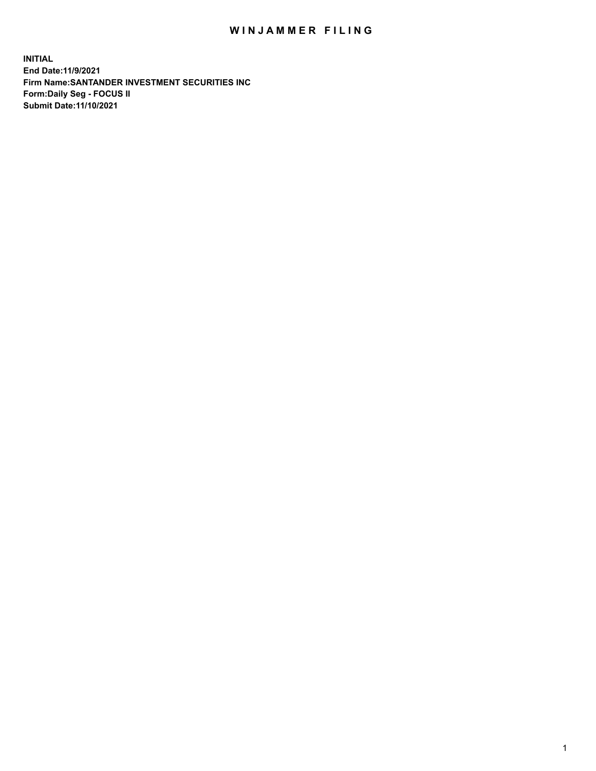## WIN JAMMER FILING

**INITIAL End Date:11/9/2021 Firm Name:SANTANDER INVESTMENT SECURITIES INC Form:Daily Seg - FOCUS II Submit Date:11/10/2021**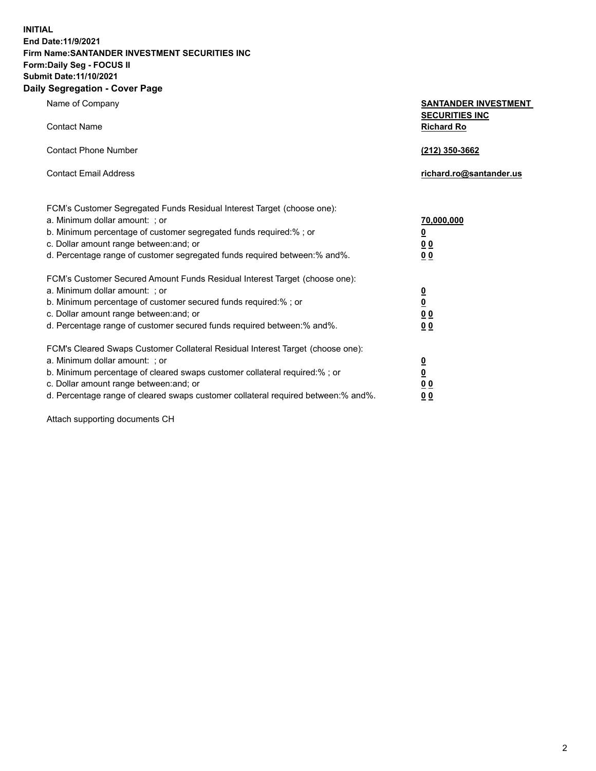**INITIAL End Date:11/9/2021 Firm Name:SANTANDER INVESTMENT SECURITIES INC Form:Daily Seg - FOCUS II Submit Date:11/10/2021 Daily Segregation - Cover Page**

Name of Company **SANTANDER INVESTMENT SECURITIES INC** Contact Name **Richard Ro** Contact Phone Number **(212) 350-3662** Contact Email Address **richard.ro@santander.us** FCM's Customer Segregated Funds Residual Interest Target (choose one): a. Minimum dollar amount: ; or **70,000,000** b. Minimum percentage of customer segregated funds required:% ; or **0** c. Dollar amount range between:and; or **0 0** d. Percentage range of customer segregated funds required between:% and%. **0 0** FCM's Customer Secured Amount Funds Residual Interest Target (choose one): a. Minimum dollar amount: ; or **0** b. Minimum percentage of customer secured funds required:% ; or **0** c. Dollar amount range between:and; or **0 0** d. Percentage range of customer secured funds required between:% and%. **0 0** FCM's Cleared Swaps Customer Collateral Residual Interest Target (choose one): a. Minimum dollar amount: ; or **0** b. Minimum percentage of cleared swaps customer collateral required:% ; or **0** c. Dollar amount range between:and; or **0 0** d. Percentage range of cleared swaps customer collateral required between:% and%. **0 0**

Attach supporting documents CH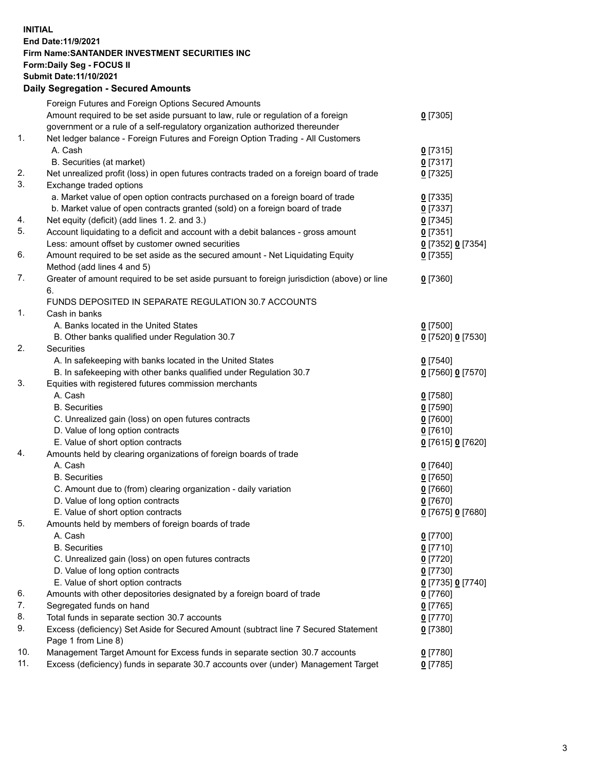**INITIAL End Date:11/9/2021 Firm Name:SANTANDER INVESTMENT SECURITIES INC Form:Daily Seg - FOCUS II Submit Date:11/10/2021 Daily Segregation - Secured Amounts**

|            | Foreign Futures and Foreign Options Secured Amounts                                         |                   |
|------------|---------------------------------------------------------------------------------------------|-------------------|
|            | Amount required to be set aside pursuant to law, rule or regulation of a foreign            | $0$ [7305]        |
|            | government or a rule of a self-regulatory organization authorized thereunder                |                   |
| 1.         | Net ledger balance - Foreign Futures and Foreign Option Trading - All Customers             |                   |
|            | A. Cash                                                                                     | $0$ [7315]        |
|            | B. Securities (at market)                                                                   | $0$ [7317]        |
| 2.         | Net unrealized profit (loss) in open futures contracts traded on a foreign board of trade   | $0$ [7325]        |
| 3.         | Exchange traded options                                                                     |                   |
|            | a. Market value of open option contracts purchased on a foreign board of trade              | $0$ [7335]        |
|            | b. Market value of open contracts granted (sold) on a foreign board of trade                | $0$ [7337]        |
| 4.         | Net equity (deficit) (add lines 1. 2. and 3.)                                               | $0$ [7345]        |
| 5.         | Account liquidating to a deficit and account with a debit balances - gross amount           | $0$ [7351]        |
|            | Less: amount offset by customer owned securities                                            | 0 [7352] 0 [7354] |
| 6.         | Amount required to be set aside as the secured amount - Net Liquidating Equity              | $0$ [7355]        |
|            | Method (add lines 4 and 5)                                                                  |                   |
| 7.         | Greater of amount required to be set aside pursuant to foreign jurisdiction (above) or line | $0$ [7360]        |
|            | 6.                                                                                          |                   |
|            | FUNDS DEPOSITED IN SEPARATE REGULATION 30.7 ACCOUNTS                                        |                   |
| 1.         | Cash in banks                                                                               |                   |
|            | A. Banks located in the United States                                                       | $0$ [7500]        |
|            | B. Other banks qualified under Regulation 30.7                                              | 0 [7520] 0 [7530] |
| 2.         | Securities                                                                                  |                   |
|            | A. In safekeeping with banks located in the United States                                   | $0$ [7540]        |
|            | B. In safekeeping with other banks qualified under Regulation 30.7                          | 0 [7560] 0 [7570] |
| 3.         | Equities with registered futures commission merchants                                       |                   |
|            | A. Cash                                                                                     | $0$ [7580]        |
|            | <b>B.</b> Securities                                                                        | $0$ [7590]        |
|            | C. Unrealized gain (loss) on open futures contracts                                         | $0$ [7600]        |
|            | D. Value of long option contracts                                                           | $0$ [7610]        |
|            | E. Value of short option contracts                                                          | 0 [7615] 0 [7620] |
| 4.         | Amounts held by clearing organizations of foreign boards of trade                           |                   |
|            | A. Cash                                                                                     | $0$ [7640]        |
|            | <b>B.</b> Securities                                                                        | $0$ [7650]        |
|            | C. Amount due to (from) clearing organization - daily variation                             | $0$ [7660]        |
|            | D. Value of long option contracts                                                           | $0$ [7670]        |
|            | E. Value of short option contracts                                                          | 0 [7675] 0 [7680] |
| 5.         | Amounts held by members of foreign boards of trade                                          |                   |
|            | A. Cash                                                                                     | $0$ [7700]        |
|            | <b>B.</b> Securities                                                                        | $0$ [7710]        |
|            | C. Unrealized gain (loss) on open futures contracts                                         | $0$ [7720]        |
|            | D. Value of long option contracts                                                           |                   |
|            |                                                                                             | $0$ [7730]        |
|            | E. Value of short option contracts                                                          | 0 [7735] 0 [7740] |
| 6.<br>7.   | Amounts with other depositories designated by a foreign board of trade                      | $0$ [7760]        |
|            | Segregated funds on hand                                                                    | $0$ [7765]        |
| 8.         | Total funds in separate section 30.7 accounts                                               | $0$ [7770]        |
| 9.         | Excess (deficiency) Set Aside for Secured Amount (subtract line 7 Secured Statement         | 0 [7380]          |
|            | Page 1 from Line 8)                                                                         |                   |
| 10.<br>11. | Management Target Amount for Excess funds in separate section 30.7 accounts                 | $0$ [7780]        |
|            | Excess (deficiency) funds in separate 30.7 accounts over (under) Management Target          | $0$ [7785]        |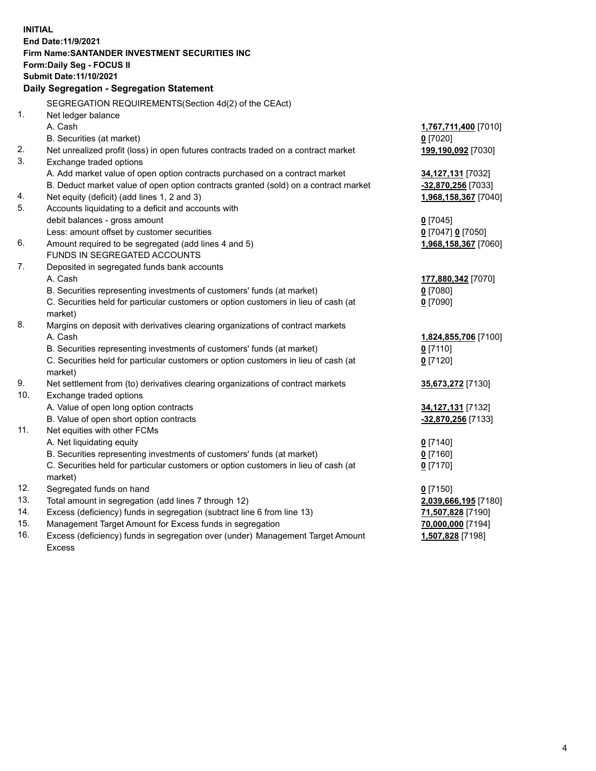| <b>INITIAL</b> |                                                                                                            |                      |  |  |  |
|----------------|------------------------------------------------------------------------------------------------------------|----------------------|--|--|--|
|                | End Date: 11/9/2021                                                                                        |                      |  |  |  |
|                | Firm Name: SANTANDER INVESTMENT SECURITIES INC                                                             |                      |  |  |  |
|                | Form: Daily Seg - FOCUS II                                                                                 |                      |  |  |  |
|                | Submit Date: 11/10/2021                                                                                    |                      |  |  |  |
|                | Daily Segregation - Segregation Statement                                                                  |                      |  |  |  |
|                | SEGREGATION REQUIREMENTS(Section 4d(2) of the CEAct)                                                       |                      |  |  |  |
| 1.             | Net ledger balance                                                                                         |                      |  |  |  |
|                | A. Cash                                                                                                    | 1,767,711,400 [7010] |  |  |  |
|                | B. Securities (at market)                                                                                  | $0$ [7020]           |  |  |  |
| 2.             | Net unrealized profit (loss) in open futures contracts traded on a contract market                         | 199,190,092 [7030]   |  |  |  |
| 3.             | Exchange traded options                                                                                    |                      |  |  |  |
|                | A. Add market value of open option contracts purchased on a contract market                                | 34,127,131 [7032]    |  |  |  |
|                | B. Deduct market value of open option contracts granted (sold) on a contract market                        | -32,870,256 [7033]   |  |  |  |
| 4.             | Net equity (deficit) (add lines 1, 2 and 3)                                                                | 1,968,158,367 [7040] |  |  |  |
| 5.             | Accounts liquidating to a deficit and accounts with                                                        |                      |  |  |  |
|                | debit balances - gross amount                                                                              | $0$ [7045]           |  |  |  |
|                | Less: amount offset by customer securities                                                                 | 0 [7047] 0 [7050]    |  |  |  |
| 6.             | Amount required to be segregated (add lines 4 and 5)                                                       | 1,968,158,367 [7060] |  |  |  |
|                | FUNDS IN SEGREGATED ACCOUNTS                                                                               |                      |  |  |  |
| 7.             | Deposited in segregated funds bank accounts                                                                |                      |  |  |  |
|                | A. Cash                                                                                                    | 177,880,342 [7070]   |  |  |  |
|                | B. Securities representing investments of customers' funds (at market)                                     | $0$ [7080]           |  |  |  |
|                | C. Securities held for particular customers or option customers in lieu of cash (at                        | $0$ [7090]           |  |  |  |
|                | market)                                                                                                    |                      |  |  |  |
| 8.             | Margins on deposit with derivatives clearing organizations of contract markets                             |                      |  |  |  |
|                | A. Cash                                                                                                    | 1,824,855,706 [7100] |  |  |  |
|                | B. Securities representing investments of customers' funds (at market)                                     | $0$ [7110]           |  |  |  |
|                | C. Securities held for particular customers or option customers in lieu of cash (at                        | $0$ [7120]           |  |  |  |
| 9.             | market)                                                                                                    |                      |  |  |  |
| 10.            | Net settlement from (to) derivatives clearing organizations of contract markets<br>Exchange traded options | 35,673,272 [7130]    |  |  |  |
|                | A. Value of open long option contracts                                                                     | 34, 127, 131 [7132]  |  |  |  |
|                | B. Value of open short option contracts                                                                    | -32,870,256 [7133]   |  |  |  |
| 11.            | Net equities with other FCMs                                                                               |                      |  |  |  |
|                | A. Net liquidating equity                                                                                  | $0$ [7140]           |  |  |  |
|                | B. Securities representing investments of customers' funds (at market)                                     | $0$ [7160]           |  |  |  |
|                | C. Securities held for particular customers or option customers in lieu of cash (at                        | $0$ [7170]           |  |  |  |
|                | market)                                                                                                    |                      |  |  |  |
| 12.            | Segregated funds on hand                                                                                   | $0$ [7150]           |  |  |  |
| 13.            | Total amount in segregation (add lines 7 through 12)                                                       | 2,039,666,195 [7180] |  |  |  |
| 14.            | Excess (deficiency) funds in segregation (subtract line 6 from line 13)                                    | 71,507,828 [7190]    |  |  |  |
| 15.            | Management Target Amount for Excess funds in segregation                                                   | 70,000,000 [7194]    |  |  |  |
| 16.            | Excess (deficiency) funds in segregation over (under) Management Target Amount                             | 1,507,828 [7198]     |  |  |  |
|                | Excess                                                                                                     |                      |  |  |  |